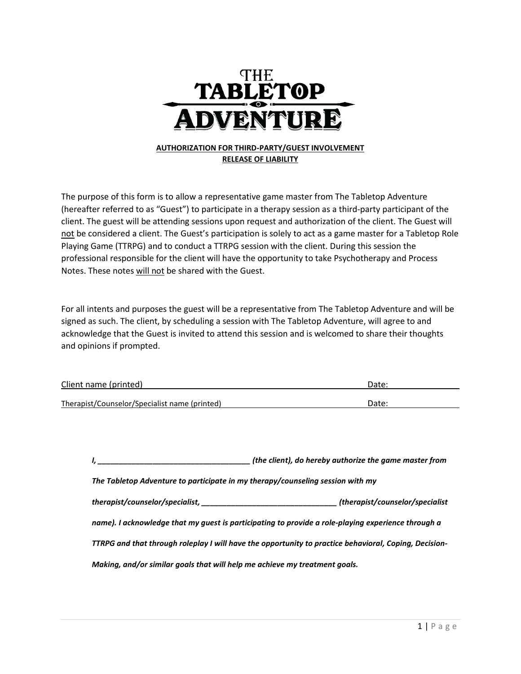

## **RELEASE OF LIABILITY**

The purpose of this form is to allow a representative game master from The Tabletop Adventure (hereafter referred to as "Guest") to participate in a therapy session as a third-party participant of the client. The guest will be attending sessions upon request and authorization of the client. The Guest will not be considered a client. The Guest's participation is solely to act as a game master for a Tabletop Role Playing Game (TTRPG) and to conduct a TTRPG session with the client. During this session the professional responsible for the client will have the opportunity to take Psychotherapy and Process Notes. These notes will not be shared with the Guest.

For all intents and purposes the guest will be a representative from The Tabletop Adventure and will be signed as such. The client, by scheduling a session with The Tabletop Adventure, will agree to and acknowledge that the Guest is invited to attend this session and is welcomed to share their thoughts and opinions if prompted.

| Client name (printed)                         | Date: |
|-----------------------------------------------|-------|
|                                               | Date: |
| Therapist/Counselor/Specialist name (printed) |       |

|                                                                                                    | (the client), do hereby authorize the game master from                                                |  |  |
|----------------------------------------------------------------------------------------------------|-------------------------------------------------------------------------------------------------------|--|--|
| The Tabletop Adventure to participate in my therapy/counseling session with my                     |                                                                                                       |  |  |
|                                                                                                    | (therapist/counselor/specialist)                                                                      |  |  |
| name). I acknowledge that my guest is participating to provide a role-playing experience through a |                                                                                                       |  |  |
|                                                                                                    | TTRPG and that through roleplay I will have the opportunity to practice behavioral, Coping, Decision- |  |  |
| Making, and/or similar goals that will help me achieve my treatment goals.                         |                                                                                                       |  |  |